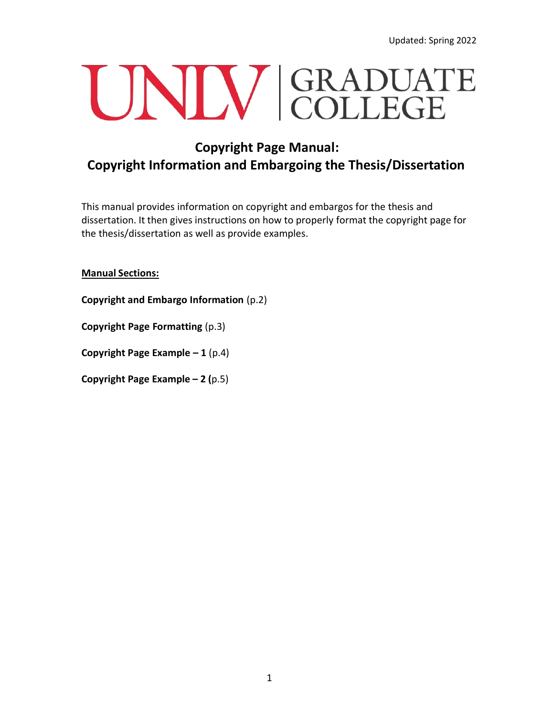# UNIV GRADUATE

## **Copyright Page Manual: Copyright Information and Embargoing the Thesis/Dissertation**

This manual provides information on copyright and embargos for the thesis and dissertation. It then gives instructions on how to properly format the copyright page for the thesis/dissertation as well as provide examples.

#### **Manual Sections:**

**Copyright and Embargo Information** (p.2)

**Copyright Page Formatting** (p.3)

**Copyright Page Example – 1** (p.4)

**Copyright Page Example – 2 (**p.5)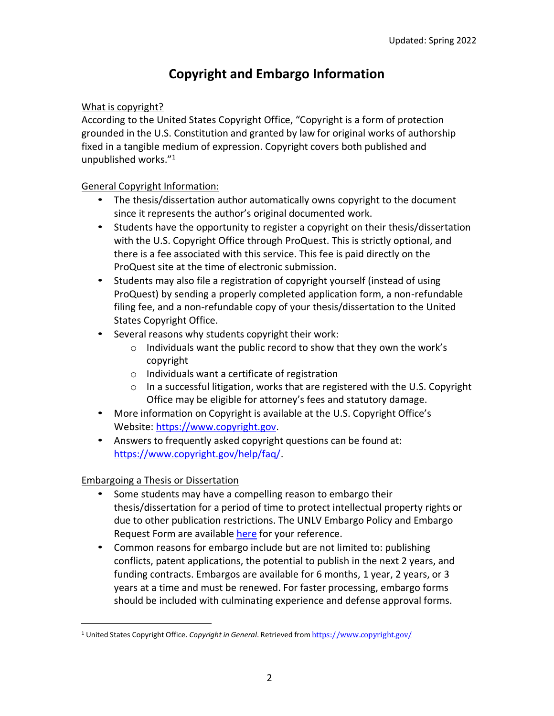## **Copyright and Embargo Information**

#### What is copyright?

According to the United States Copyright Office, "Copyright is a form of protection grounded in the U.S. Constitution and granted by law for original works of authorship fixed in a tangible medium of expression. Copyright covers both published and unpublished works."[1](#page-1-0)

#### General Copyright Information:

- The thesis/dissertation author automatically owns copyright to the document since it represents the author's original documented work.
- Students have the opportunity to register a copyright on their thesis/dissertation with the U.S. Copyright Office through ProQuest. This is strictly optional, and there is a fee associated with this service. This fee is paid directly on the ProQuest site at the time of electronic submission.
- Students may also file a registration of copyright yourself (instead of using ProQuest) by sending a properly completed application form, a non-refundable filing fee, and a non-refundable copy of your thesis/dissertation to the United States Copyright Office.
- Several reasons why students copyright their work:
	- o Individuals want the public record to show that they own the work's copyright
	- o Individuals want a certificate of registration
	- o In a successful litigation, works that are registered with the U.S. Copyright Office may be eligible for attorney's fees and statutory damage.
- More information on Copyright is available at the U.S. Copyright Office's Website: [https://www.copyright.gov.](https://www.copyright.gov/)
- Answers to frequently asked copyright questions can be found at: [https://www.copyright.gov/help/faq/.](https://www.copyright.gov/help/faq/)

#### Embargoing a Thesis or Dissertation

- Some students may have a compelling reason to embargo their thesis/dissertation for a period of time to protect intellectual property rights or due to other publication restrictions. The UNLV Embargo Policy and Embargo Request Form are available [here](https://www.unlv.edu/graduatecollege/thesis/embargo) for your reference.
- Common reasons for embargo include but are not limited to: publishing conflicts, patent applications, the potential to publish in the next 2 years, and funding contracts. Embargos are available for 6 months, 1 year, 2 years, or 3 years at a time and must be renewed. For faster processing, embargo forms should be included with culminating experience and defense approval forms.

<span id="page-1-0"></span><sup>1</sup> United States Copyright Office. *Copyright in General*. Retrieved from <https://www.copyright.gov/>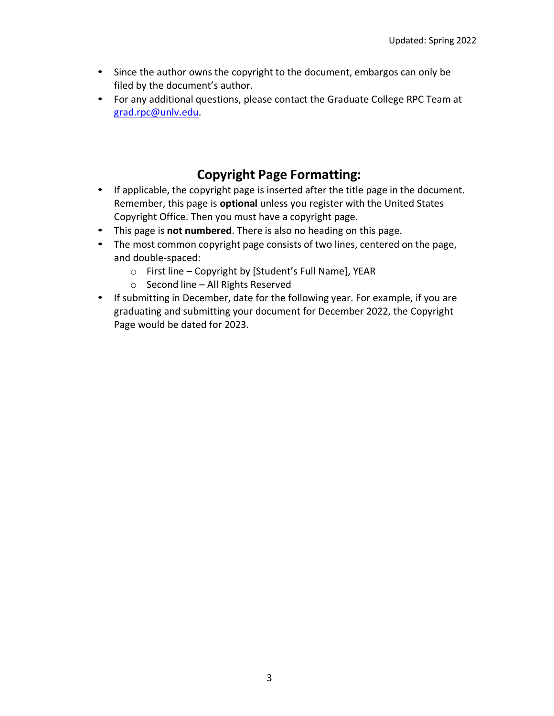- Since the author owns the copyright to the document, embargos can only be filed by the document's author.
- For any additional questions, please contact the Graduate College RPC Team at [grad.rpc@unlv.edu.](mailto:grad.rpc@unlv.edu)

## **Copyright Page Formatting:**

- If applicable, the copyright page is inserted after the title page in the document. Remember, this page is **optional** unless you register with the United States Copyright Office. Then you must have a copyright page.
- This page is **not numbered**. There is also no heading on this page.
- The most common copyright page consists of two lines, centered on the page, and double-spaced:
	- o First line Copyright by [Student's Full Name], YEAR
	- o Second line All Rights Reserved
- If submitting in December, date for the following year. For example, if you are graduating and submitting your document for December 2022, the Copyright Page would be dated for 2023.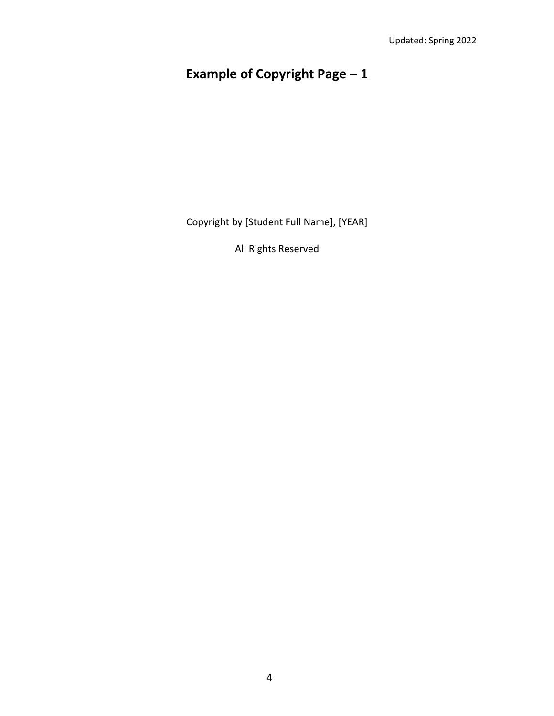# **Example of Copyright Page – 1**

Copyright by [Student Full Name], [YEAR]

All Rights Reserved